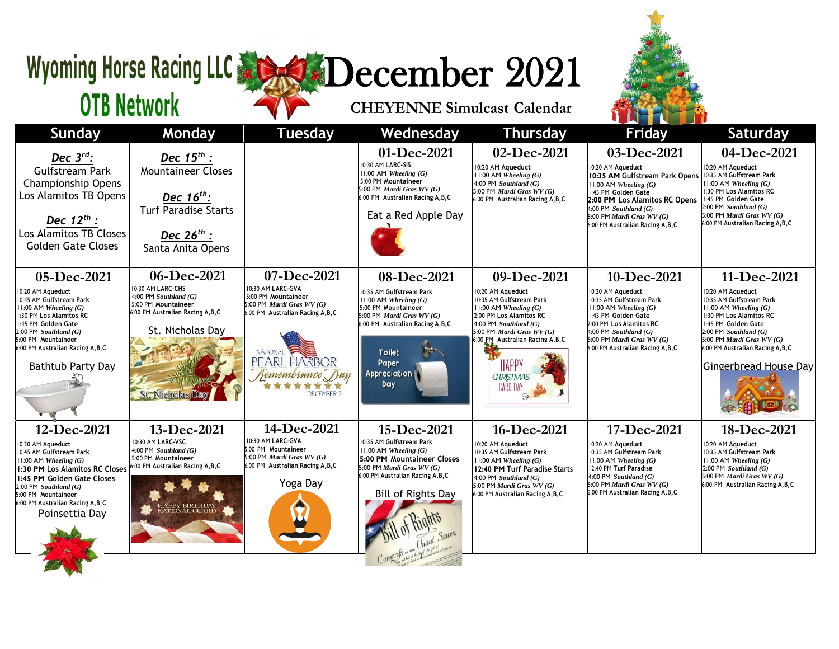## Wyoming Horse Racing LLC & SADecember 2021

**OTB Network** 

## **CHEYENNE Simulcast Calendar**



|                                                                                                                                                                                                                                                                      |                                                                                                                                                                      |                                                                                                                                                                                                |                                                                                                                                                                                                                |                                                                                                                                                                                                                                                          | <b>BELLEY</b><br><u> 1954 - 1955 - 1955 - 1955 - 1955 - 1955 - 1955 - 1955 - 1955 - 1955 - 1955 - 1955 - 1955 - 1955 - 1955 - 195</u>                                                                                                                  |                                                                                                                                                                                                                                                                      |
|----------------------------------------------------------------------------------------------------------------------------------------------------------------------------------------------------------------------------------------------------------------------|----------------------------------------------------------------------------------------------------------------------------------------------------------------------|------------------------------------------------------------------------------------------------------------------------------------------------------------------------------------------------|----------------------------------------------------------------------------------------------------------------------------------------------------------------------------------------------------------------|----------------------------------------------------------------------------------------------------------------------------------------------------------------------------------------------------------------------------------------------------------|--------------------------------------------------------------------------------------------------------------------------------------------------------------------------------------------------------------------------------------------------------|----------------------------------------------------------------------------------------------------------------------------------------------------------------------------------------------------------------------------------------------------------------------|
| Sunday                                                                                                                                                                                                                                                               | Monday                                                                                                                                                               | <b>Tuesday</b>                                                                                                                                                                                 | Wednesday                                                                                                                                                                                                      | <b>Thursday</b>                                                                                                                                                                                                                                          | <b>Friday</b>                                                                                                                                                                                                                                          | <b>Saturday</b>                                                                                                                                                                                                                                                      |
| Dec $3^{rd}$ :<br><b>Gulfstream Park</b><br><b>Championship Opens</b><br>Los Alamitos TB Opens<br>Dec $12^{th}$ :<br>Los Alamitos TB Closes<br><b>Golden Gate Closes</b>                                                                                             | Dec $15^{th}$ :<br><b>Mountaineer Closes</b><br>Dec $16^{th}$ :<br><b>Turf Paradise Starts</b><br>Dec $26^{th}$ :<br>Santa Anita Opens                               |                                                                                                                                                                                                | 01-Dec-2021<br>10:30 AM LARC-SIS<br>$11:00$ AM Wheeling $(G)$<br>5:00 PM Mountaineer<br>5:00 PM <i>Mardi Gras WV</i> $(G)$<br>6:00 PM Australian Racing A, B, C<br>Eat a Red Apple Day                         | 02-Dec-2021<br>10:20 AM Aqueduct<br>$11:00$ AM Wheeling $(G)$<br>$4:00$ PM Southland $(G)$<br>5:00 PM Mardi Gras $WV(G)$<br>6:00 PM Australian Racing A, B, C                                                                                            | 03-Dec-2021<br>10:20 AM Aqueduct<br>10:35 AM Gulfstream Park Opens<br>$ 11:00$ AM Wheeling $(G)$<br>1:45 PM Golden Gate<br>2:00 PM Los Alamitos RC Opens<br>$4:00$ PM Southland (G)<br>5:00 PM Mardi Gras $WV(G)$<br>6:00 PM Australian Racing A, B, C | 04-Dec-2021<br>10:20 AM Aqueduct<br>10:35 AM Gulfstream Park<br>$11:00$ AM Wheeling $(G)$<br>1:30 PM Los Alamitos RC<br>1:45 PM Golden Gate<br>$2:00$ PM Southland $(G)$<br>5:00 PM Mardi Gras $WV(G)$<br>6:00 PM Australian Racing A, B, C                          |
| 05-Dec-2021<br>10:20 AM Aqueduct<br>10:45 AM Gulfstream Park<br>$11:00$ AM Wheeling $(G)$<br>1:30 PM Los Alamitos RC<br>1:45 PM Golden Gate<br>2:00 PM Southland (G)<br>5:00 PM Mountaineer<br>6:00 PM Australian Racing A, B, C<br>Bathtub Party Day                | 06-Dec-2021<br>10:30 AM LARC-CHS<br>4:00 PM Southland (G)<br>5:00 PM Mountaineer<br>6:00 PM Australian Racing A, B, C<br>St. Nicholas Day<br><b>St. Nicholas Day</b> | 07-Dec-2021<br>10:30 AM LARC-GVA<br>5:00 PM Mountaineer<br>5:00 PM Mardi Gras $WV(G)$<br>6:00 PM Australian Racing A, B, C<br><b>NATIONAL</b><br>PEARL HARBOR<br>Remembrance Day<br>DECEMBER 7 | 08-Dec-2021<br>10:35 AM Gulfstream Park<br>$11:00$ AM Wheeling $(G)$<br>5:00 PM Mountaineer<br>5:00 PM Mardi Gras WV (G)<br>6:00 PM Australian Racing A, B, C<br><b>Toilet</b><br>Paper<br>Appreciation<br>Day | 09-Dec-2021<br>10:20 AM Aqueduct<br>10:35 AM Gulfstream Park<br>$11:00$ AM Wheeling $(G)$<br>2:00 PM Los Alamitos RC<br>4:00 PM Southland $(G)$<br>5:00 PM Mardi Gras $WV(G)$<br>6:00 PM Australian Racing A.B.C<br><b>G-IRISTMAS</b><br><b>CARD DAY</b> | 10-Dec-2021<br>10:20 AM Aqueduct<br>10:35 AM Gulfstream Park<br>$11:00$ AM Wheeling $(G)$<br>1:45 PM Golden Gate<br>2:00 PM Los Alamitos RC<br>$4:00$ PM Southland (G)<br>5:00 PM Mardi Gras $WV(G)$<br>6:00 PM Australian Racing A, B, C              | 11-Dec-2021<br>10:20 AM Aqueduct<br>10:35 AM Gulfstream Park<br>$11:00$ AM Wheeling $(G)$<br>1:30 PM Los Alamitos RC<br>1:45 PM Golden Gate<br>$2:00$ PM Southland $(G)$<br>5:00 PM Mardi Gras $WV(G)$<br>6:00 PM Australian Racing A, B, C<br>Gingerbread House Day |
| 12-Dec-2021<br>10:20 AM Aqueduct<br>10:45 AM Gulfstream Park<br>$11:00$ AM Wheeling $(G)$<br>1:30 PM Los Alamitos RC Closes<br>1:45 PM Golden Gate Closes<br>$2:00$ PM Southland $(G)$<br>5:00 PM Mountaineer<br>6:00 PM Australian Racing A, B, C<br>Poinsettia Day | 13-Dec-2021<br>10:30 AM LARC-VSC<br>4:00 PM Southland $(G)$<br>5:00 PM Mountaineer<br>6:00 PM Australian Racing A, B, C<br>HAPPY BIRTHDAY<br>NATIONAL GUARD          | 14-Dec-2021<br>10:30 AM LARC-GVA<br>5:00 PM Mountaineer<br>5:00 PM Mardi Gras $WV(G)$<br>6:00 PM Australian Racing A, B, C<br>Yoga Day                                                         | 15-Dec-2021<br>10:35 AM Gulfstream Park<br>$11:00$ AM Wheeling $(G)$<br>5:00 PM Mountaineer Closes<br>5:00 PM Mardi Gras $WV(G)$<br>6:00 PM Australian Racing A, B, C<br>Bill of Rights Day<br>States.         | 16-Dec-2021<br>10:20 AM Aqueduct<br>10:35 AM Gulfstream Park<br>$11:00$ AM Wheeling $(G)$<br>12:40 PM Turf Paradise Starts<br>$4:00$ PM Southland $(G)$<br>5:00 PM Mardi Gras WV (G)<br>6:00 PM Australian Racing A, B, C                                | 17-Dec-2021<br>10:20 AM Aqueduct<br>10:35 AM Gulfstream Park<br>$11:00$ AM Wheeling $(G)$<br>12:40 PM Turf Paradise<br>4:00 PM Southland $(G)$<br>5:00 PM Mardi Gras $WV(G)$<br>6:00 PM Australian Racing A, B, C                                      | 18-Dec-2021<br>10:20 AM Aqueduct<br>10:35 AM Gulfstream Park<br>$11:00$ AM Wheeling $(G)$<br>$ 2:00$ PM Southland $(G)$<br>5:00 PM Mardi Gras $WV(G)$<br>6:00 PM Australian Racing A, B, C                                                                           |